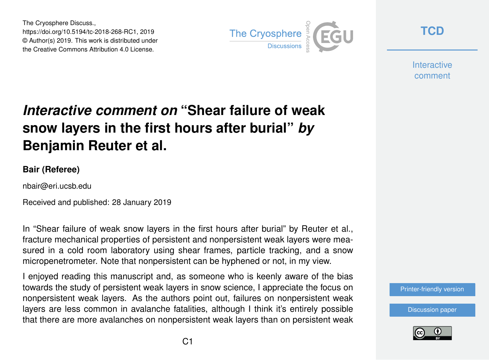The Cryosphere Discuss., https://doi.org/10.5194/tc-2018-268-RC1, 2019 © Author(s) 2019. This work is distributed under the Creative Commons Attribution 4.0 License.



**[TCD](https://www.the-cryosphere-discuss.net/)**

**Interactive** comment

## *Interactive comment on* **"Shear failure of weak snow layers in the first hours after burial"** *by* **Benjamin Reuter et al.**

## **Bair (Referee)**

nbair@eri.ucsb.edu

Received and published: 28 January 2019

In "Shear failure of weak snow layers in the first hours after burial" by Reuter et al., fracture mechanical properties of persistent and nonpersistent weak layers were measured in a cold room laboratory using shear frames, particle tracking, and a snow micropenetrometer. Note that nonpersistent can be hyphened or not, in my view.

I enjoyed reading this manuscript and, as someone who is keenly aware of the bias towards the study of persistent weak layers in snow science, I appreciate the focus on nonpersistent weak layers. As the authors point out, failures on nonpersistent weak layers are less common in avalanche fatalities, although I think it's entirely possible that there are more avalanches on nonpersistent weak layers than on persistent weak



[Discussion paper](https://www.the-cryosphere-discuss.net/tc-2018-268)

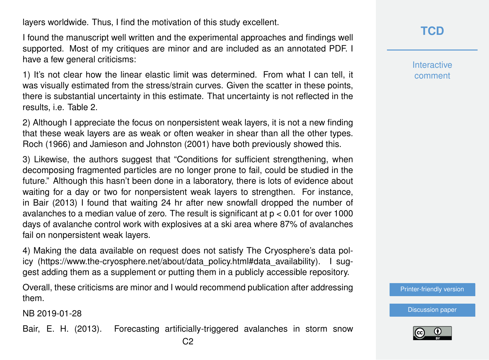layers worldwide. Thus, I find the motivation of this study excellent.

I found the manuscript well written and the experimental approaches and findings well supported. Most of my critiques are minor and are included as an annotated PDF. I have a few general criticisms:

1) It's not clear how the linear elastic limit was determined. From what I can tell, it was visually estimated from the stress/strain curves. Given the scatter in these points, there is substantial uncertainty in this estimate. That uncertainty is not reflected in the results, i.e. Table 2.

2) Although I appreciate the focus on nonpersistent weak layers, it is not a new finding that these weak layers are as weak or often weaker in shear than all the other types. Roch (1966) and Jamieson and Johnston (2001) have both previously showed this.

3) Likewise, the authors suggest that "Conditions for sufficient strengthening, when decomposing fragmented particles are no longer prone to fail, could be studied in the future." Although this hasn't been done in a laboratory, there is lots of evidence about waiting for a day or two for nonpersistent weak layers to strengthen. For instance, in Bair (2013) I found that waiting 24 hr after new snowfall dropped the number of avalanches to a median value of zero. The result is significant at p < 0.01 for over 1000 days of avalanche control work with explosives at a ski area where 87% of avalanches fail on nonpersistent weak layers.

4) Making the data available on request does not satisfy The Cryosphere's data policy (https://www.the-cryosphere.net/about/data\_policy.html#data\_availability). I suggest adding them as a supplement or putting them in a publicly accessible repository.

Overall, these criticisms are minor and I would recommend publication after addressing them.

NB 2019-01-28

Bair, E. H. (2013). Forecasting artificially-triggered avalanches in storm snow

**Interactive** comment

[Printer-friendly version](https://www.the-cryosphere-discuss.net/tc-2018-268/tc-2018-268-RC1-print.pdf)

[Discussion paper](https://www.the-cryosphere-discuss.net/tc-2018-268)